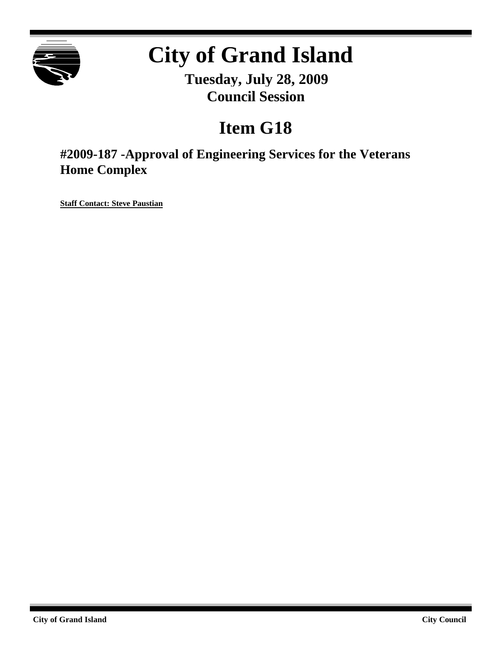

# **City of Grand Island**

**Tuesday, July 28, 2009 Council Session**

# **Item G18**

**#2009-187 -Approval of Engineering Services for the Veterans Home Complex**

**Staff Contact: Steve Paustian**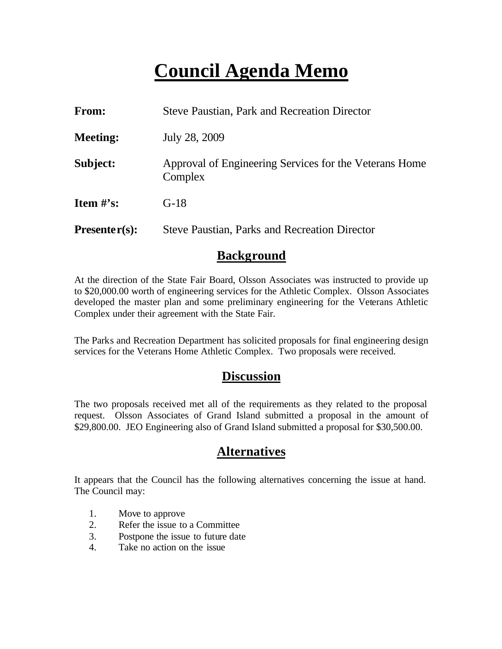# **Council Agenda Memo**

| From:           | <b>Steve Paustian, Park and Recreation Director</b>               |  |  |
|-----------------|-------------------------------------------------------------------|--|--|
| <b>Meeting:</b> | July 28, 2009                                                     |  |  |
| Subject:        | Approval of Engineering Services for the Veterans Home<br>Complex |  |  |
| Item $\#$ 's:   | $G-18$                                                            |  |  |
| $Presenter(s):$ | <b>Steve Paustian, Parks and Recreation Director</b>              |  |  |

### **Background**

At the direction of the State Fair Board, Olsson Associates was instructed to provide up to \$20,000.00 worth of engineering services for the Athletic Complex. Olsson Associates developed the master plan and some preliminary engineering for the Veterans Athletic Complex under their agreement with the State Fair.

The Parks and Recreation Department has solicited proposals for final engineering design services for the Veterans Home Athletic Complex. Two proposals were received.

### **Discussion**

The two proposals received met all of the requirements as they related to the proposal request. Olsson Associates of Grand Island submitted a proposal in the amount of \$29,800.00. JEO Engineering also of Grand Island submitted a proposal for \$30,500.00.

# **Alternatives**

It appears that the Council has the following alternatives concerning the issue at hand. The Council may:

- 1. Move to approve
- 2. Refer the issue to a Committee
- 3. Postpone the issue to future date
- 4. Take no action on the issue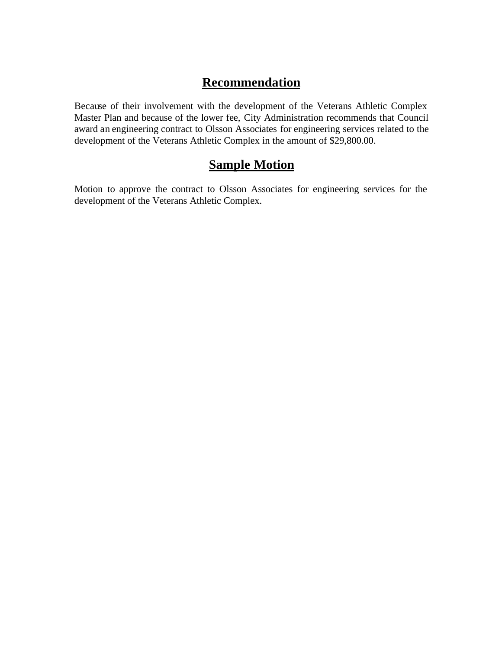# **Recommendation**

Because of their involvement with the development of the Veterans Athletic Complex Master Plan and because of the lower fee, City Administration recommends that Council award an engineering contract to Olsson Associates for engineering services related to the development of the Veterans Athletic Complex in the amount of \$29,800.00.

# **Sample Motion**

Motion to approve the contract to Olsson Associates for engineering services for the development of the Veterans Athletic Complex.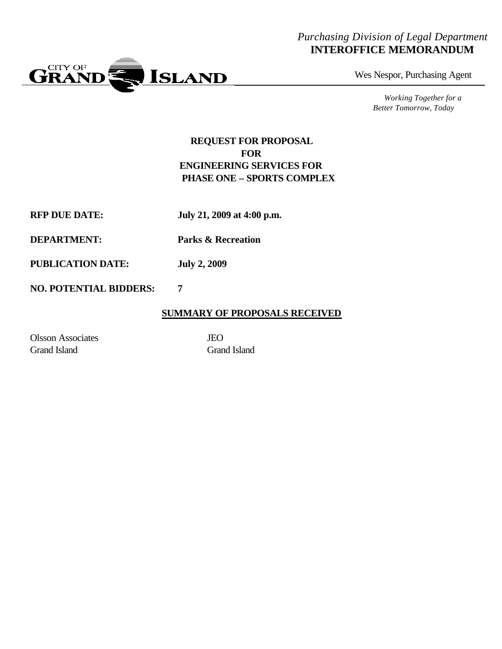### *Purchasing Division of Legal Department* **INTEROFFICE MEMORANDUM**



Wes Nespor, Purchasing Agent

*Working Together for a Better Tomorrow, Today*

#### **REQUEST FOR PROPOSAL FOR ENGINEERING SERVICES FOR PHASE ONE – SPORTS COMPLEX**

**RFP DUE DATE: July 21, 2009 at 4:00 p.m.**

**DEPARTMENT: Parks & Recreation**

**PUBLICATION DATE: July 2, 2009**

#### **NO. POTENTIAL BIDDERS: 7**

#### **SUMMARY OF PROPOSALS RECEIVED**

Olsson Associates JEO Grand Island Grand Island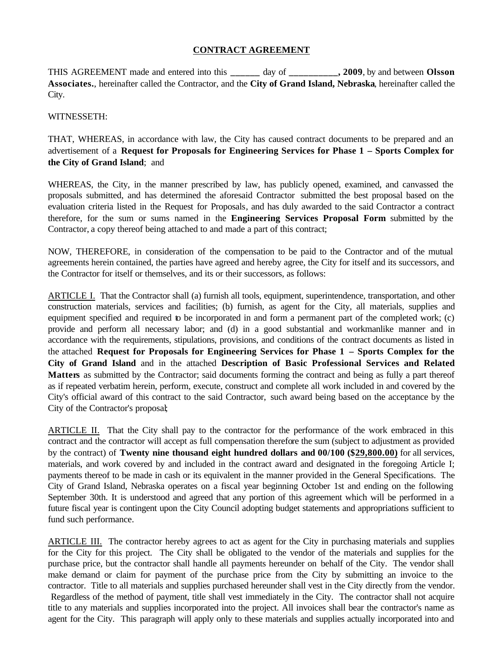#### **CONTRACT AGREEMENT**

THIS AGREEMENT made and entered into this **\_\_\_\_\_\_** day of **\_\_\_\_\_\_\_\_\_\_, 2009**, by and between **Olsson Associates.**, hereinafter called the Contractor, and the **City of Grand Island, Nebraska**, hereinafter called the City.

#### WITNESSETH:

THAT, WHEREAS, in accordance with law, the City has caused contract documents to be prepared and an advertisement of a **Request for Proposals for Engineering Services for Phase 1 – Sports Complex for the City of Grand Island**; and

WHEREAS, the City, in the manner prescribed by law, has publicly opened, examined, and canvassed the proposals submitted, and has determined the aforesaid Contractor submitted the best proposal based on the evaluation criteria listed in the Request for Proposals, and has duly awarded to the said Contractor a contract therefore, for the sum or sums named in the **Engineering Services Proposal Form** submitted by the Contractor, a copy thereof being attached to and made a part of this contract;

NOW, THEREFORE, in consideration of the compensation to be paid to the Contractor and of the mutual agreements herein contained, the parties have agreed and hereby agree, the City for itself and its successors, and the Contractor for itself or themselves, and its or their successors, as follows:

ARTICLE I. That the Contractor shall (a) furnish all tools, equipment, superintendence, transportation, and other construction materials, services and facilities; (b) furnish, as agent for the City, all materials, supplies and equipment specified and required to be incorporated in and form a permanent part of the completed work; (c) provide and perform all necessary labor; and (d) in a good substantial and workmanlike manner and in accordance with the requirements, stipulations, provisions, and conditions of the contract documents as listed in the attached **Request for Proposals for Engineering Services for Phase 1 – Sports Complex for the City of Grand Island** and in the attached **Description of Basic Professional Services and Related Matters** as submitted by the Contractor; said documents forming the contract and being as fully a part thereof as if repeated verbatim herein, perform, execute, construct and complete all work included in and covered by the City's official award of this contract to the said Contractor, such award being based on the acceptance by the City of the Contractor's proposal;

ARTICLE II. That the City shall pay to the contractor for the performance of the work embraced in this contract and the contractor will accept as full compensation therefore the sum (subject to adjustment as provided by the contract) of **Twenty nine thousand eight hundred dollars and 00/100 (\$29,800.00)** for all services, materials, and work covered by and included in the contract award and designated in the foregoing Article I; payments thereof to be made in cash or its equivalent in the manner provided in the General Specifications. The City of Grand Island, Nebraska operates on a fiscal year beginning October 1st and ending on the following September 30th. It is understood and agreed that any portion of this agreement which will be performed in a future fiscal year is contingent upon the City Council adopting budget statements and appropriations sufficient to fund such performance.

ARTICLE III. The contractor hereby agrees to act as agent for the City in purchasing materials and supplies for the City for this project. The City shall be obligated to the vendor of the materials and supplies for the purchase price, but the contractor shall handle all payments hereunder on behalf of the City. The vendor shall make demand or claim for payment of the purchase price from the City by submitting an invoice to the contractor. Title to all materials and supplies purchased hereunder shall vest in the City directly from the vendor. Regardless of the method of payment, title shall vest immediately in the City. The contractor shall not acquire title to any materials and supplies incorporated into the project. All invoices shall bear the contractor's name as agent for the City. This paragraph will apply only to these materials and supplies actually incorporated into and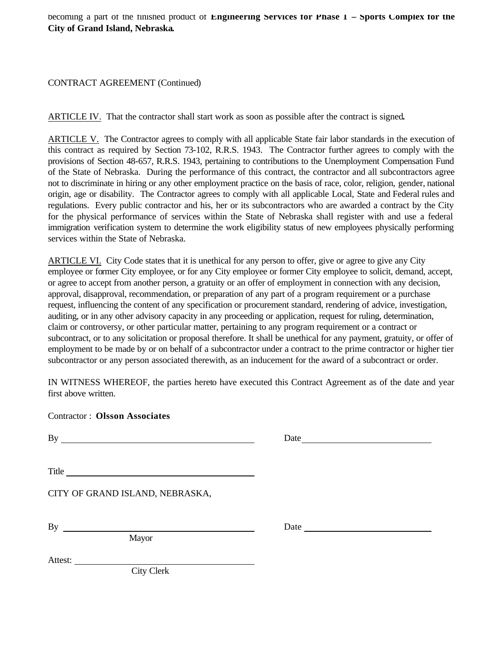#### CONTRACT AGREEMENT (Continued)

ARTICLE IV. That the contractor shall start work as soon as possible after the contract is signed**.** 

ARTICLE V. The Contractor agrees to comply with all applicable State fair labor standards in the execution of this contract as required by Section 73-102, R.R.S. 1943. The Contractor further agrees to comply with the provisions of Section 48-657, R.R.S. 1943, pertaining to contributions to the Unemployment Compensation Fund of the State of Nebraska. During the performance of this contract, the contractor and all subcontractors agree not to discriminate in hiring or any other employment practice on the basis of race, color, religion, gender, national origin, age or disability. The Contractor agrees to comply with all applicable Local, State and Federal rules and regulations. Every public contractor and his, her or its subcontractors who are awarded a contract by the City for the physical performance of services within the State of Nebraska shall register with and use a federal immigration verification system to determine the work eligibility status of new employees physically performing services within the State of Nebraska.

ARTICLE VI. City Code states that it is unethical for any person to offer, give or agree to give any City employee or former City employee, or for any City employee or former City employee to solicit, demand, accept, or agree to accept from another person, a gratuity or an offer of employment in connection with any decision, approval, disapproval, recommendation, or preparation of any part of a program requirement or a purchase request, influencing the content of any specification or procurement standard, rendering of advice, investigation, auditing, or in any other advisory capacity in any proceeding or application, request for ruling, determination, claim or controversy, or other particular matter, pertaining to any program requirement or a contract or subcontract, or to any solicitation or proposal therefore. It shall be unethical for any payment, gratuity, or offer of employment to be made by or on behalf of a subcontractor under a contract to the prime contractor or higher tier subcontractor or any person associated therewith, as an inducement for the award of a subcontract or order.

IN WITNESS WHEREOF, the parties hereto have executed this Contract Agreement as of the date and year first above written.

Contractor : **Olsson Associates**

By **By**  $\overline{B}$ 

Title **The Community of the Community** of the Community of the Community of the Community of the Community of the Community of the Community of the Community of the Community of the Community of the Community of the Commun

CITY OF GRAND ISLAND, NEBRASKA,

Mayor

By Date Date

Attest:

City Clerk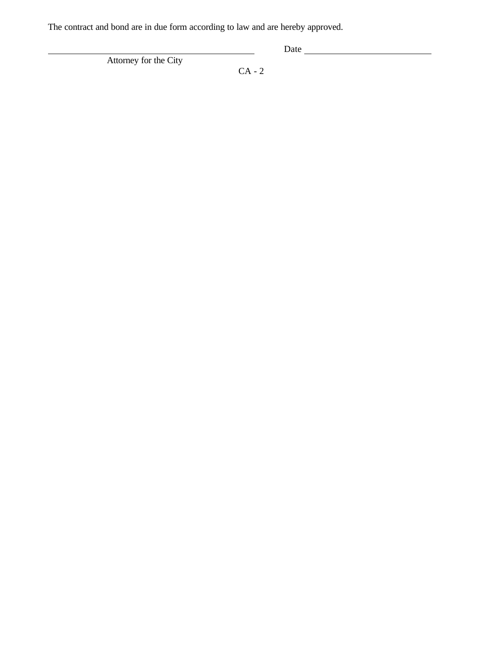The contract and bond are in due form according to law and are hereby approved.

Attorney for the City

Date

CA - 2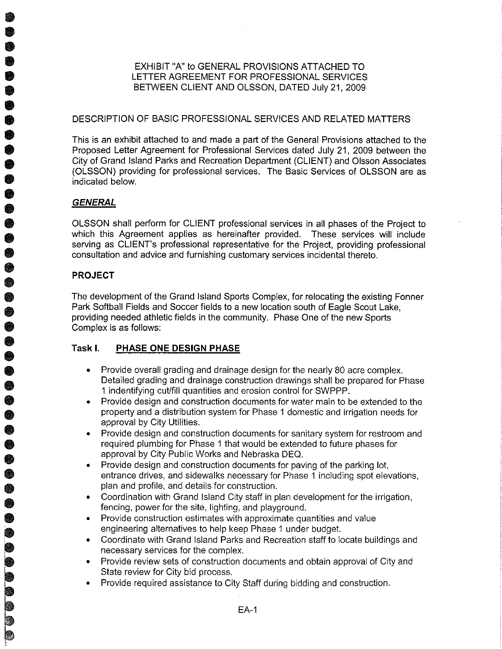EXHIBIT "A" to GENERAL PROVISIONS ATTACHED TO LETTER AGREEMENT FOR PROFESSIONAL SERVICES BETWEEN CLIENT AND OLSSON, DATED July 21, 2009

#### DESCRIPTION OF BASIC PROFESSIONAL SERVICES AND RELATED MATTERS

This is an exhibit attached to and made a part of the General Provisions attached to the Proposed Letter Agreement for Professional Services dated July 21, 2009 between the City of Grand Island Parks and Recreation Department (CLIENT) and Olsson Associates (OLSSON) providing for professional services. The Basic Services of OLSSON are as indicated below.

#### **GENERAL**

OLSSON shall perform for CLIENT professional services in all phases of the Project to which this Agreement applies as hereinafter provided. These services will include serving as CLIENT's professional representative for the Project, providing professional consultation and advice and furnishing customary services incidental thereto.

#### **PROJECT**

0000

The development of the Grand Island Sports Complex, for relocating the existing Fonner Park Softball Fields and Soccer fields to a new location south of Eagle Scout Lake. providing needed athletic fields in the community. Phase One of the new Sports Complex is as follows:

#### Task I. PHASE ONE DESIGN PHASE

- Provide overall grading and drainage design for the nearly 80 acre complex. Detailed grading and drainage construction drawings shall be prepared for Phase 1 indentifying cut/fill quantities and erosion control for SWPPP.
- Provide design and construction documents for water main to be extended to the property and a distribution system for Phase 1 domestic and irrigation needs for approval by City Utilities.
- Provide design and construction documents for sanitary system for restroom and required plumbing for Phase 1 that would be extended to future phases for approval by City Public Works and Nebraska DEQ.
- Provide design and construction documents for paving of the parking lot. entrance drives, and sidewalks necessary for Phase 1 including spot elevations, plan and profile, and details for construction.
- Coordination with Grand Island City staff in plan development for the irrigation, fencing, power for the site, lighting, and playground.
- Provide construction estimates with approximate quantities and value engineering alternatives to help keep Phase 1 under budget.
- Coordinate with Grand Island Parks and Recreation staff to locate buildings and necessary services for the complex.
- Provide review sets of construction documents and obtain approval of City and  $\bullet$ State review for City bid process.
- Provide required assistance to City Staff during bidding and construction.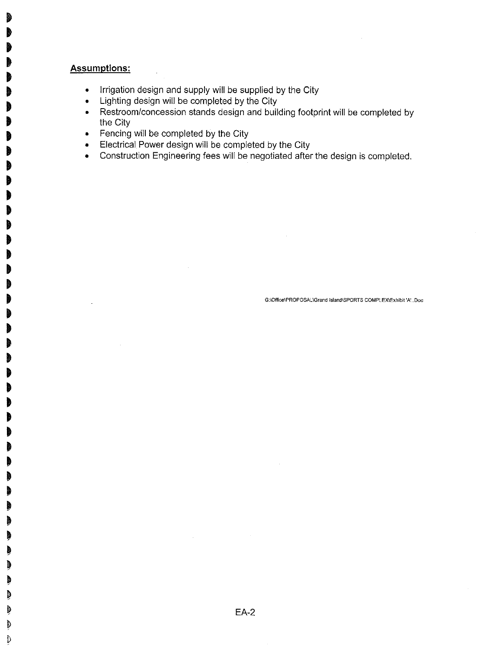#### **Assumptions:**

đ đ

d I)

- Irrigation design and supply will be supplied by the City  $\bullet$  .
- Lighting design will be completed by the City
- Restroom/concession stands design and building footprint will be completed by the City
- Fencing will be completed by the City
- Electrical Power design will be completed by the City  $\bullet$
- Construction Engineering fees will be negotiated after the design is completed.  $\bullet$

G:\Office\PROPOSAL\Grand Island\SPORTS COMPLEX\Exhibit 'A'..Doc